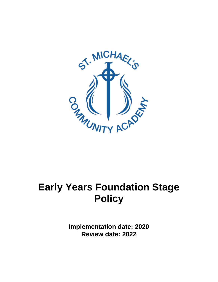

# **Early Years Foundation Stage Policy**

**Implementation date: 2020 Review date: 2022**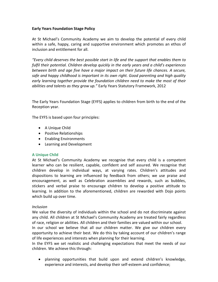# **Early Years Foundation Stage Policy**

At St Michael's Community Academy we aim to develop the potential of every child within a safe, happy, caring and supportive environment which promotes an ethos of inclusion and entitlement for all.

*"Every child deserves the best possible start in life and the support that enables them to fulfil their potential. Children develop quickly in the early years and a child's experiences between birth and age five have a major impact on their future life chances. A secure, safe and happy childhood is important in its own right. Good parenting and high quality early learning together provide the foundation children need to make the most of their abilities and talents as they grow up."* Early Years Statutory Framework, 2012

The Early Years Foundation Stage (EYFS) applies to children from birth to the end of the Reception year.

The EYFS is based upon four principles:

- A Unique Child
- Positive Relationships
- Enabling Environments
- Learning and Development

## **A Unique Child**

At St Michael's Community Academy we recognise that every child is a competent learner who can be resilient, capable, confident and self assured. We recognise that children develop in individual ways, at varying rates. Children's attitudes and dispositions to learning are influenced by feedback from others; we use praise and encouragement, as well as Celebration assemblies and rewards, such as bubbles, stickers and verbal praise to encourage children to develop a positive attitude to learning. In addition to the aforementioned, children are rewarded with Dojo points which build up over time.

#### *Inclusion*

We value the diversity of individuals within the school and do not discriminate against any child. All children at St Michael's Community Academy are treated fairly regardless of race, religion or abilities. All children and their families are valued within our school. In our school we believe that all our children matter. We give our children every opportunity to achieve their best. We do this by taking account of our children's range of life experiences and interests when planning for their learning.

In the EYFS we set realistic and challenging expectations that meet the needs of our children. We achieve this through:

 planning opportunities that build upon and extend children's knowledge, experience and interests, and develop their self-esteem and confidence;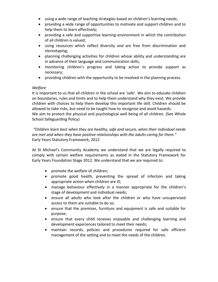- using a wide range of teaching strategies based on children's learning needs;
- providing a wide range of opportunities to motivate and support children and to help them to learn effectively;
- providing a safe and supportive learning environment in which the contribution of all children is valued;
- using resources which reflect diversity and are free from discrimination and stereotyping;
- planning challenging activities for children whose ability and understanding are in advance of their language and communication skills;
- monitoring children's progress and taking action to provide support as necessary;
- providing children with the opportunity to be involved in the planning process.

## *Welfare*

It is important to us that all children in the school are 'safe'. We aim to educate children on boundaries, rules and limits and to help them understand why they exist. We provide children with choices to help them develop this important life skill. Children should be allowed to take risks, but need to be taught how to recognise and avoid hazards. We aim to protect the physical and psychological well being of all children. (See Whole School Safeguarding Policy)

*"Children learn best when they are healthy, safe and secure, when their individual needs are met and when they have positive relationships with the adults caring for them."* Early Years Statutory Framework, 2012

At St Michael's Community Academy we understand that we are legally required to comply with certain welfare requirements as stated in the Statutory Framework for Early Years Foundation Stage 2012. We understand that we are required to:

- promote the welfare of children;
- promote good health, preventing the spread of infection and taking appropriate action when children are ill;
- manage behaviour effectively in a manner appropriate for the children's stage of development and individual needs;
- ensure all adults who look after the children or who have unsupervised access to them are suitable to do so;
- ensure that the premises, furniture and equipment is safe and suitable for purpose;
- ensure that every child receives enjoyable and challenging learning and development experiences tailored to meet their needs;
- maintain records, policies and procedures required for safe efficient management of the setting and to meet the needs of the children.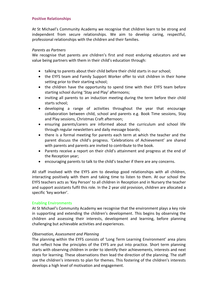#### **Positive Relationships**

At St Michael's Community Academy we recognise that children learn to be strong and independent from secure relationships. We aim to develop caring, respectful, professional relationships with the children and their families.

#### *Parents as Partners*

We recognise that parents are children's first and most enduring educators and we value being partners with them in their child's education through:

- talking to parents about their child before their child starts in our school;
- the EYFS team and Family Support Worker offer to visit children in their home setting prior to their starting school;
- the children have the opportunity to spend time with their EYFS team before starting school during 'Stay and Play' afternoons;
- inviting all parents to an induction meeting during the term before their child starts school;
- developing a range of activities throughout the year that encourage collaboration between child, school and parents e.g. Book Time sessions, Stay and Play sessions, Christmas Craft afternoon;
- ensuring parents/carers are informed about the curriculum and school life through regular newsletters and daily message boards;
- there is a formal meeting for parents each term at which the teacher and the parent discuss the child's progress. 'Celebrations of Achievement' are shared with parents and parents are invited to contribute to the book.
- Parents receive a report on their child's attainment and progress at the end of the Reception year;
- encouraging parents to talk to the child's teacher if there are any concerns.

All staff involved with the EYFS aim to develop good relationships with all children, interacting positively with them and taking time to listen to them. At our school the EYFS teachers acts as 'Key Person' to all children in Reception and in Nursery the teacher and support assistants fulfil this role. In the 2 year old provision, children are allocated a specific 'key worker'.

## Enabling Environments

At St Michael's Community Academy we recognise that the environment plays a key role in supporting and extending the children's development. This begins by observing the children and assessing their interests, development and learning, before planning challenging but achievable activities and experiences.

## *Observation, Assessment and Planning*

The planning within the EYFS consists of 'Long Term Learning Environment' area plans that reflect how the principles of the EYFS are put into practice. Short term planning starts with observing children in order to identify their achievements, interests and next steps for learning. These observations then lead the direction of the planning. The staff use the children's interests to plan for themes. This fostering of the children's interests develops a high level of motivation and engagement.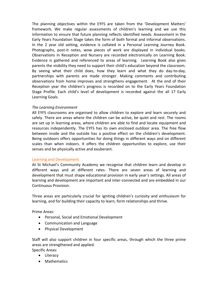The planning objectives within the EYFS are taken from the 'Development Matters' framework. We make regular assessments of children's learning and we use this information to ensure that future planning reflects identified needs. Assessment in the Early Years Foundation Stage takes the form of both formal and informal observations. In the 2 year old setting, evidence is collated in a Personal Learning Journey Book. Photographs, post-it notes, wow pieces of work are displayed in individual books. Observations in Reception and Nursery are recorded electronically on Learning Book. Evidence is gathered and referenced to areas of learning. Learning Book also gives parents the visibility they need to support their child's education beyond the classroom. By seeing what their child does, how they learn and what they do day-to-day, partnerships with parents are made stronger. Making comments and contributing observations from home improves and strengthens engagement. At the end of their Reception year the children's progress is recorded on to the Early Years Foundation Stage Profile. Each child's level of development is recorded against the all 17 Early Learning Goals.

## *The Learning Environment*

All EYFS classrooms are organised to allow children to explore and learn securely and safely. There are areas where the children can be active, be quiet and rest. The rooms are set up in learning areas, where children are able to find and locate equipment and resources independently. The EYFS has its own enclosed outdoor area. The free flow between inside and the outside has a positive effect on the children's development. Being outdoors offers opportunities for doing things in different ways and on different scales than when indoors. It offers the children opportunities to explore, use their senses and be physically active and exuberant.

#### Learning and Development

At St Michael's Community Academy we recognise that children learn and develop in different ways and at different rates. There are seven areas of learning and development that must shape educational provision in early year's settings. All areas of learning and development are important and inter-connected and are embedded in our Continuous Provision.

Three areas are particularly crucial for igniting children's curiosity and enthusiasm for learning, and for building their capacity to learn, form relationships and thrive.

Prime Areas:

- Personal, Social and Emotional Development
- Communication and Language
- Physical Development

Staff will also support children in four specific areas, through which the three prime areas are strengthened and applied. Specific Areas:

- Literacy
- Mathematics